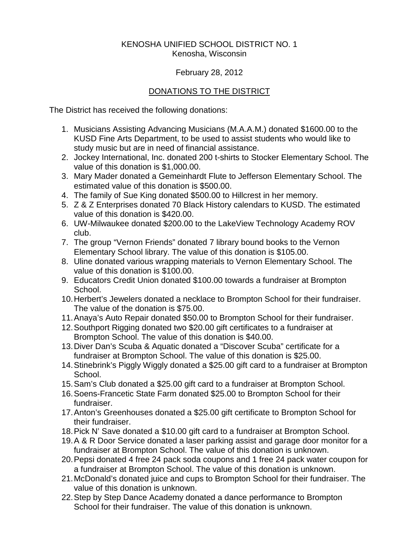## KENOSHA UNIFIED SCHOOL DISTRICT NO. 1 Kenosha, Wisconsin

## February 28, 2012

## DONATIONS TO THE DISTRICT

The District has received the following donations:

- 1. Musicians Assisting Advancing Musicians (M.A.A.M.) donated \$1600.00 to the KUSD Fine Arts Department, to be used to assist students who would like to study music but are in need of financial assistance.
- 2. Jockey International, Inc. donated 200 t-shirts to Stocker Elementary School. The value of this donation is \$1,000.00.
- 3. Mary Mader donated a Gemeinhardt Flute to Jefferson Elementary School. The estimated value of this donation is \$500.00.
- 4. The family of Sue King donated \$500.00 to Hillcrest in her memory.
- 5. Z & Z Enterprises donated 70 Black History calendars to KUSD. The estimated value of this donation is \$420.00.
- 6. UW-Milwaukee donated \$200.00 to the LakeView Technology Academy ROV club.
- 7. The group "Vernon Friends" donated 7 library bound books to the Vernon Elementary School library. The value of this donation is \$105.00.
- 8. Uline donated various wrapping materials to Vernon Elementary School. The value of this donation is \$100.00.
- 9. Educators Credit Union donated \$100.00 towards a fundraiser at Brompton School.
- 10.Herbert's Jewelers donated a necklace to Brompton School for their fundraiser. The value of the donation is \$75.00.
- 11.Anaya's Auto Repair donated \$50.00 to Brompton School for their fundraiser.
- 12.Southport Rigging donated two \$20.00 gift certificates to a fundraiser at Brompton School. The value of this donation is \$40.00.
- 13.Diver Dan's Scuba & Aquatic donated a "Discover Scuba" certificate for a fundraiser at Brompton School. The value of this donation is \$25.00.
- 14.Stinebrink's Piggly Wiggly donated a \$25.00 gift card to a fundraiser at Brompton School.
- 15.Sam's Club donated a \$25.00 gift card to a fundraiser at Brompton School.
- 16.Soens-Francetic State Farm donated \$25.00 to Brompton School for their fundraiser.
- 17.Anton's Greenhouses donated a \$25.00 gift certificate to Brompton School for their fundraiser.
- 18.Pick N' Save donated a \$10.00 gift card to a fundraiser at Brompton School.
- 19.A & R Door Service donated a laser parking assist and garage door monitor for a fundraiser at Brompton School. The value of this donation is unknown.
- 20.Pepsi donated 4 free 24 pack soda coupons and 1 free 24 pack water coupon for a fundraiser at Brompton School. The value of this donation is unknown.
- 21.McDonald's donated juice and cups to Brompton School for their fundraiser. The value of this donation is unknown.
- 22.Step by Step Dance Academy donated a dance performance to Brompton School for their fundraiser. The value of this donation is unknown.